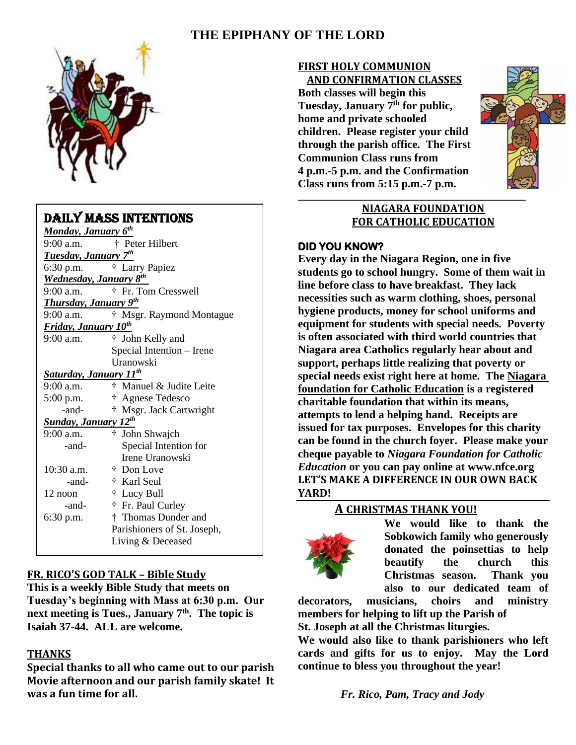# **THE EPIPHANY OF THE LORD**



### DAILY MASS INTENTIONS

| Monday, January 6 <sup>th</sup>            |                             |
|--------------------------------------------|-----------------------------|
| $9:00$ a.m.                                | † Peter Hilbert             |
| Tuesday, January 7 <sup>th</sup>           |                             |
| 6:30 p.m.                                  | † Larry Papiez              |
| <b>Wednesday</b> , January 8 <sup>th</sup> |                             |
| 9:00 a.m.                                  | † Fr. Tom Cresswell         |
| <b>Thursday, January 9th</b>               |                             |
| $9:00$ a.m.                                | † Msgr. Raymond Montague    |
| Friday, January 10 <sup>th</sup>           |                             |
| $9:00$ a.m.                                | † John Kelly and            |
|                                            | Special Intention - Irene   |
|                                            | Uranowski                   |
| <b>Saturday, January 11th</b>              |                             |
| $9:00$ a.m.                                | † Manuel & Judite Leite     |
| $5:00$ p.m.                                | † Agnese Tedesco            |
| -and-                                      | † Msgr. Jack Cartwright     |
| <b>Sunday, January 12th</b>                |                             |
| $9:00$ a.m.                                | † John Shwajch              |
| -and-                                      | Special Intention for       |
|                                            | Irene Uranowski             |
| $10:30$ a.m.                               | † Don Love                  |
| -and-                                      | † Karl Seul                 |
| 12 noon                                    | † Lucy Bull                 |
| -and-                                      | † Fr. Paul Curley           |
| 6:30 p.m.                                  | † Thomas Dunder and         |
|                                            | Parishioners of St. Joseph, |
|                                            | Living & Deceased           |
|                                            |                             |

### **FR. RICO'S GOD TALK – Bible Study**

**This is a weekly Bible Study that meets on Tuesday's beginning with Mass at 6:30 p.m. Our next meeting is Tues., January 7 th . The topic is Isaiah 37-44. ALL are welcome.**

### **THANKS**

**Special thanks to all who came out to our parish Movie afternoon and our parish family skate! It was a fun time for all.** 

#### **FIRST HOLY COMMUNION** **AND CONFIRMATION CLASSES**

**Both classes will begin this Tuesday, January 7 th for public, home and private schooled children. Please register your child through the parish office. The First Communion Class runs from 4 p.m.-5 p.m. and the Confirmation Class runs from 5:15 p.m.-7 p.m.**



### **NIAGARA FOUNDATION FOR CATHOLIC EDUCATION**

#### **DID YOU KNOW?**

**Every day in the Niagara Region, one in five students go to school hungry. Some of them wait in line before class to have breakfast. They lack necessities such as warm clothing, shoes, personal hygiene products, money for school uniforms and equipment for students with special needs. Poverty is often associated with third world countries that Niagara area Catholics regularly hear about and support, perhaps little realizing that poverty or special needs exist right here at home. The Niagara foundation for Catholic Education is a registered charitable foundation that within its means, attempts to lend a helping hand. Receipts are issued for tax purposes. Envelopes for this charity can be found in the church foyer. Please make your cheque payable to** *Niagara Foundation for Catholic Education* **or you can pay online at [www.nfce.org](http://www.nfce.org/) LET'S MAKE A DIFFERENCE IN OUR OWN BACK YARD!**

### **A CHRISTMAS THANK YOU!**



**We would like to thank the Sobkowich family who generously donated the poinsettias to help beautify the church this Christmas season. Thank you also to our dedicated team of** 

**decorators, musicians, choirs and ministry members for helping to lift up the Parish of St. Joseph at all the Christmas liturgies.** 

**We would also like to thank parishioners who left cards and gifts for us to enjoy. May the Lord continue to bless you throughout the year!**

*Fr. Rico, Pam, Tracy and Jody*